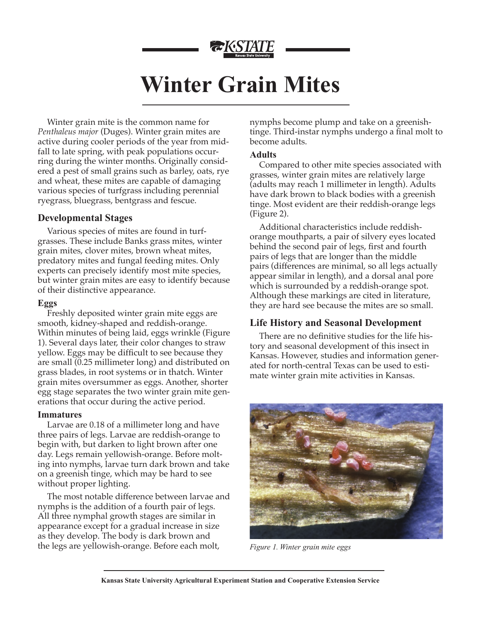

# **Winter Grain Mites**

Winter grain mite is the common name for *Penthaleus major* (Duges). Winter grain mites are active during cooler periods of the year from midfall to late spring, with peak populations occurring during the winter months. Originally considered a pest of small grains such as barley, oats, rye and wheat, these mites are capable of damaging various species of turfgrass including perennial ryegrass, bluegrass, bentgrass and fescue.

## **Developmental Stages**

Various species of mites are found in turfgrasses. These include Banks grass mites, winter grain mites, clover mites, brown wheat mites, predatory mites and fungal feeding mites. Only experts can precisely identify most mite species, but winter grain mites are easy to identify because of their distinctive appearance.

## **Eggs**

Freshly deposited winter grain mite eggs are smooth, kidney-shaped and reddish-orange. Within minutes of being laid, eggs wrinkle (Figure 1). Several days later, their color changes to straw yellow. Eggs may be difficult to see because they are small (0.25 millimeter long) and distributed on grass blades, in root systems or in thatch. Winter grain mites oversummer as eggs. Another, shorter egg stage separates the two winter grain mite generations that occur during the active period.

## **Immatures**

Larvae are 0.18 of a millimeter long and have three pairs of legs. Larvae are reddish-orange to begin with, but darken to light brown after one day. Legs remain yellowish-orange. Before molting into nymphs, larvae turn dark brown and take on a greenish tinge, which may be hard to see without proper lighting.

The most notable difference between larvae and nymphs is the addition of a fourth pair of legs. All three nymphal growth stages are similar in appearance except for a gradual increase in size as they develop. The body is dark brown and the legs are yellowish-orange. Before each molt,

nymphs become plump and take on a greenishtinge. Third-instar nymphs undergo a final molt to become adults.

## **Adults**

Compared to other mite species associated with grasses, winter grain mites are relatively large (adults may reach 1 millimeter in length). Adults have dark brown to black bodies with a greenish tinge. Most evident are their reddish-orange legs (Figure 2).

Additional characteristics include reddishorange mouthparts, a pair of silvery eyes located behind the second pair of legs, first and fourth pairs of legs that are longer than the middle pairs (differences are minimal, so all legs actually appear similar in length), and a dorsal anal pore which is surrounded by a reddish-orange spot. Although these markings are cited in literature, they are hard see because the mites are so small.

## **Life History and Seasonal Development**

There are no definitive studies for the life history and seasonal development of this insect in Kansas. However, studies and information generated for north-central Texas can be used to estimate winter grain mite activities in Kansas.



*Figure 1. Winter grain mite eggs*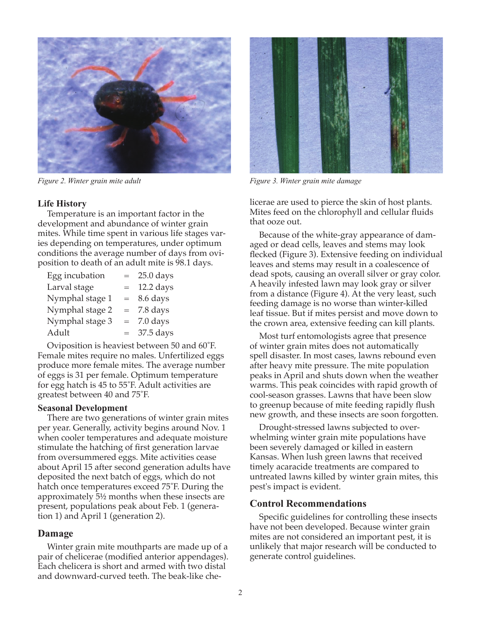

## **Life History**

Temperature is an important factor in the development and abundance of winter grain mites. While time spent in various life stages varies depending on temperatures, under optimum conditions the average number of days from oviposition to death of an adult mite is 98.1 days.

| Egg incubation  | $=$ | $25.0$ days |
|-----------------|-----|-------------|
| Larval stage    | $=$ | 12.2 days   |
| Nymphal stage 1 | $=$ | 8.6 days    |
| Nymphal stage 2 | $=$ | 7.8 days    |
| Nymphal stage 3 | $=$ | 7.0 days    |
| Adult           | $=$ | 37.5 days   |

Oviposition is heaviest between 50 and 60˚F. Female mites require no males. Unfertilized eggs produce more female mites. The average number of eggs is 31 per female. Optimum temperature for egg hatch is 45 to 55˚F. Adult activities are greatest between 40 and 75˚F.

### **Seasonal Development**

There are two generations of winter grain mites per year. Generally, activity begins around Nov. 1 when cooler temperatures and adequate moisture stimulate the hatching of first generation larvae from oversummered eggs. Mite activities cease about April 15 after second generation adults have deposited the next batch of eggs, which do not hatch once temperatures exceed 75˚F. During the approximately 5½ months when these insects are present, populations peak about Feb. 1 (generation 1) and April 1 (generation 2).

## **Damage**

Winter grain mite mouthparts are made up of a pair of chelicerae (modified anterior appendages). Each chelicera is short and armed with two distal and downward-curved teeth. The beak-like che-



*Figure 2. Winter grain mite adult Figure 3. Winter grain mite damage*

licerae are used to pierce the skin of host plants. Mites feed on the chlorophyll and cellular fluids that ooze out.

Because of the white-gray appearance of damaged or dead cells, leaves and stems may look flecked (Figure 3). Extensive feeding on individual leaves and stems may result in a coalescence of dead spots, causing an overall silver or gray color. A heavily infested lawn may look gray or silver from a distance (Figure 4). At the very least, such feeding damage is no worse than winter-killed leaf tissue. But if mites persist and move down to the crown area, extensive feeding can kill plants.

Most turf entomologists agree that presence of winter grain mites does not automatically spell disaster. In most cases, lawns rebound even after heavy mite pressure. The mite population peaks in April and shuts down when the weather warms. This peak coincides with rapid growth of cool-season grasses. Lawns that have been slow to greenup because of mite feeding rapidly flush new growth, and these insects are soon forgotten.

Drought-stressed lawns subjected to overwhelming winter grain mite populations have been severely damaged or killed in eastern Kansas. When lush green lawns that received timely acaracide treatments are compared to untreated lawns killed by winter grain mites, this pest's impact is evident.

## **Control Recommendations**

Specific guidelines for controlling these insects have not been developed. Because winter grain mites are not considered an important pest, it is unlikely that major research will be conducted to generate control guidelines.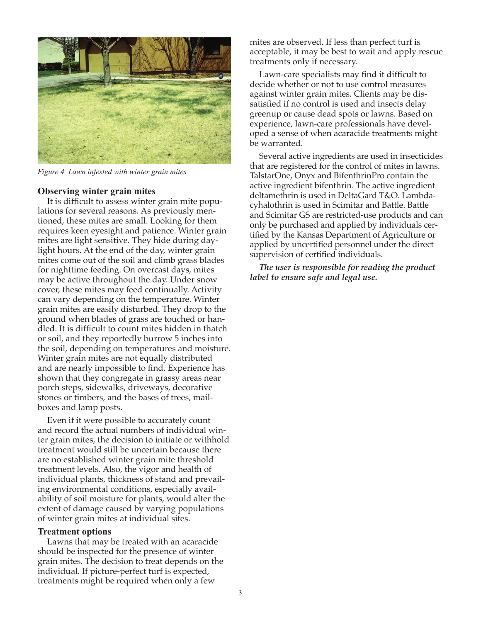

*Figure 4. Lawn infested with winter grain mites*

#### **Observing winter grain mites**

It is difficult to assess winter grain mite populations for several reasons. As previously mentioned, these mites are small. Looking for them requires keen eyesight and patience. Winter grain mites are light sensitive. They hide during daylight hours. At the end of the day, winter grain mites come out of the soil and climb grass blades for nighttime feeding. On overcast days, mites may be active throughout the day. Under snow cover, these mites may feed continually. Activity can vary depending on the temperature. Winter grain mites are easily disturbed. They drop to the ground when blades of grass are touched or handled. It is difficult to count mites hidden in thatch or soil, and they reportedly burrow 5 inches into the soil, depending on temperatures and moisture. Winter grain mites are not equally distributed and are nearly impossible to find. Experience has shown that they congregate in grassy areas near porch steps, sidewalks, driveways, decorative stones or timbers, and the bases of trees, mailboxes and lamp posts.

Even if it were possible to accurately count and record the actual numbers of individual winter grain mites, the decision to initiate or withhold treatment would still be uncertain because there are no established winter grain mite threshold treatment levels. Also, the vigor and health of individual plants, thickness of stand and prevailing environmental conditions, especially availability of soil moisture for plants, would alter the extent of damage caused by varying populations of winter grain mites at individual sites.

#### **Treatment options**

Lawns that may be treated with an acaracide should be inspected for the presence of winter grain mites. The decision to treat depends on the individual. If picture-perfect turf is expected, treatments might be required when only a few

mites are observed. If less than perfect turf is acceptable, it may be best to wait and apply rescue treatments only if necessary.

Lawn-care specialists may find it difficult to decide whether or not to use control measures against winter grain mites. Clients may be dissatisfied if no control is used and insects delay greenup or cause dead spots or lawns. Based on experience, lawn-care professionals have developed a sense of when acaracide treatments might be warranted.

Several active ingredients are used in insecticides that are registered for the control of mites in lawns. TalstarOne, Onyx and BifenthrinPro contain the active ingredient bifenthrin. The active ingredient deltamethrin is used in DeltaGard T&O. Lambdacyhalothrin is used in Scimitar and Battle. Battle and Scimitar GS are restricted-use products and can only be purchased and applied by individuals certified by the Kansas Department of Agriculture or applied by uncertified personnel under the direct supervision of certified individuals.

*The user is responsible for reading the product label to ensure safe and legal use.*